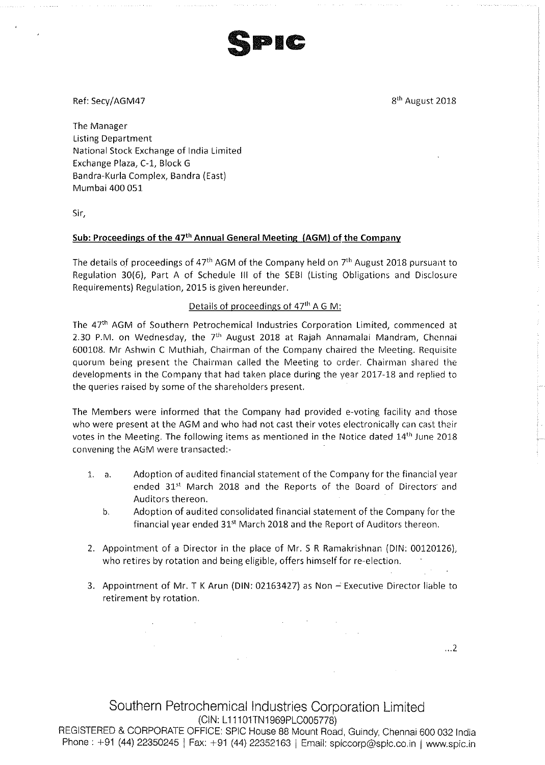Splc

Ref: Secy/AGM47 8th August 2018

 $\ldots$ 2

The Manager Listing Department National Stock Exchange of India Limited Exchange Plaza, C-1, Block <sup>G</sup> Bandra-Kurla Complex, Bandra (East) Mumbai 400 051

Sir,

## Sub: Proceedings of the 47<sup>th</sup> Annual General Meeting (AGM) of the Company

The details of proceedings of  $47<sup>th</sup>$  AGM of the Company held on  $7<sup>th</sup>$  August 2018 pursuant to Regulation 30(6), Part <sup>A</sup> of Schedule ill of the SEBi (Listing Obligations and Disclosure Requirements) Regulation, 2015 is given hereunder,

## Details of proceedings of  $47<sup>th</sup>$  A G M:

The 47<sup>th</sup> AGM of Southern Petrochemical Industries Corporation Limited, commenced at 2.30 P.M. on Wednesday, the  $7<sup>th</sup>$  August 2018 at Rajah Annamalai Mandram, Chennai 600108. Mr Ashwin <sup>C</sup> Muthiah, Chairman of the Company chaired the Meeting. Requisite quorum being present the Chairman called the Meeting to order. Chairman shared the developments in the Company that had taken place during the year 2017—18 and replied to the queries raised by some of the shareholders present,

The Members were informed that the Company had provided e~voting facility and those who were present at the AGM and who had not cast their votes electronically can cast their votes in the Meeting. The following items as mentioned in the Notice dated 14'h June 2018 convening the AGM were transacted:—

- Adoption of audited financial statement of the Company for the financial year ended 31<sup>st</sup> March 2018 and the Reports of the Board of Directors and Auditors thereon.  $1. a.$ 
	- b. Adoption of audited consolidated financial statement of the Company for the financial year ended 31<sup>st</sup> March 2018 and the Report of Auditors thereon.
- 2. Appointment of <sup>a</sup> Director in the place of Mr. <sup>S</sup> <sup>R</sup> Ramakrishnan (DiN: 00120126), who retires by rotation and being eligible, offers himself for re-election.
- 3. Appointment of Mr. <sup>T</sup> <sup>K</sup> Arun (DIN: 02163427) as Non Executive Director liable to retirement by rotation.

Southern Petrochemical industries Corporation Limited (CIN: L11101TN1969PL0005778)

REGISTERED & CORPORATE OFFICE: SPIC House 88 Mount Road, Guindy, Chennai 600 032 india Phone: +91 (44) 22350245 | Fax: +91 (44) 22352163 | Email: spiccorp@spic.co.in | www.spic.in